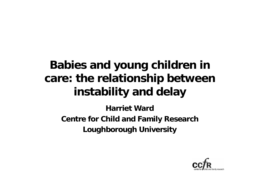## **Babies and young children in care: the relationship between instability and delay**

**Harriet Ward Centre for Child and Family Research Loughborough University**

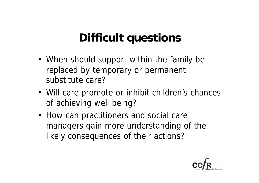## **Difficult questions**

- When should support within the family be replaced by temporary or permanent substitute care?
- Will care promote or inhibit children's chances of achieving well being?
- How can practitioners and social care managers gain more understanding of the likely consequences of their actions?

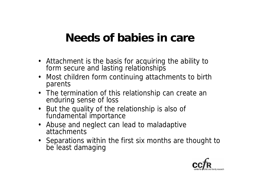## **Needs of babies in care**

- Attachment is the basis for acquiring the ability to form secure and lasting relationships
- Most children form continuing attachments to birth parents
- The termination of this relationship can create an enduring sense of loss
- But the quality of the relationship is also of fundamental importance
- Abuse and neglect can lead to maladaptive attachments
- Separations within the first six months are thought to be least damaging

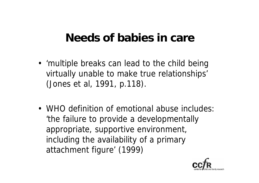#### **Needs of babies in care**

- 'multiple breaks can lead to the child being virtually unable to make true relationships' (Jones et al, 1991, p.118).
- WHO definition of emotional abuse includes: 'the failure to provide a developmentally appropriate, supportive environment, including the availability of a primary attachment figure' (1999)

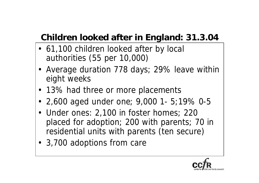#### **Children looked after in England: 31.3.04**

- 61,100 children looked after by local authorities (55 per 10,000)
- Average duration 778 days; 29% leave within eight weeks
- 13% had three or more placements
- 2,600 aged under one; 9,000 1- 5;19% 0-5
- Under ones: 2,100 in foster homes; 220 placed for adoption; 200 with parents; 70 in residential units with parents (ten secure)
- 3,700 adoptions from care

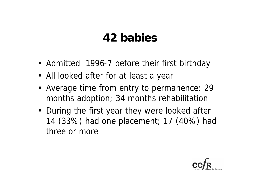## **42 babies**

- Admitted 1996-7 before their first birthday
- All looked after for at least a year
- Average time from entry to permanence: 29 months adoption; 34 months rehabilitation
- During the first year they were looked after 14 (33%) had one placement; 17 (40%) had three or more

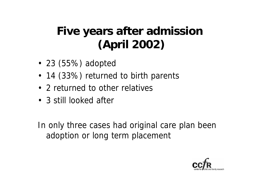## **Five years after admission (April 2002)**

- 23 (55%) adopted
- 14 (33%) returned to birth parents
- 2 returned to other relatives
- 3 still looked after

In only three cases had original care plan been adoption or long term placement

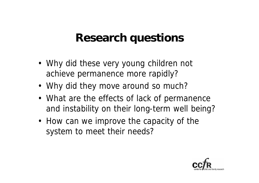#### **Research questions**

- Why did these very young children not achieve permanence more rapidly?
- Why did they move around so much?
- What are the effects of lack of permanence and instability on their long-term well being?
- How can we improve the capacity of the system to meet their needs?

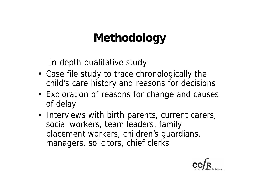## **Methodology**

In-depth qualitative study

- Case file study to trace chronologically the child's care history and reasons for decisions
- Exploration of reasons for change and causes of delay
- Interviews with birth parents, current carers, social workers, team leaders, family placement workers, children's guardians, managers, solicitors, chief clerks

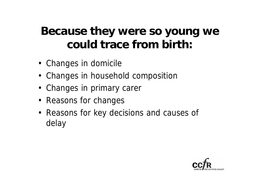## **Because they were so young we could trace from birth:**

- Changes in domicile
- Changes in household composition
- Changes in primary carer
- Reasons for changes
- Reasons for key decisions and causes of delay

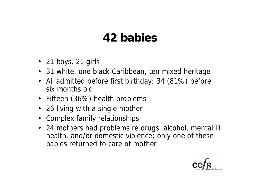## **42 babies**

- 21 boys, 21 girls
- 31 white, one black Caribbean, ten mixed heritage
- All admitted before first birthday; 34 (81%) before six months old
- Fifteen (36%) health problems
- 26 living with a single mother
- Complex family relationships
- 24 mothers had problems re drugs, alcohol, mental ill health, and/or domestic violence; only one of these babies returned to care of mother

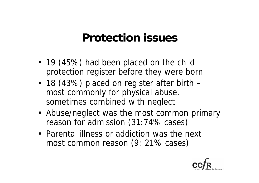#### **Protection issues**

- 19 (45%) had been placed on the child protection register before they were born
- 18 (43%) placed on register after birth most commonly for physical abuse, sometimes combined with neglect
- Abuse/neglect was the most common primary reason for admission (31:74% cases)
- Parental illness or addiction was the next most common reason (9: 21% cases)

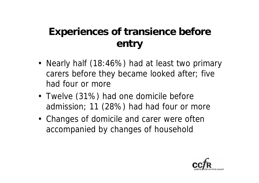#### **Experiences of transience before entry**

- Nearly half (18:46%) had at least two primary carers before they became looked after; five had four or more
- Twelve (31%) had one domicile before admission; 11 (28%) had had four or more
- Changes of domicile and carer were often accompanied by changes of household

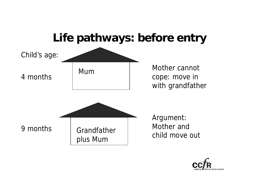

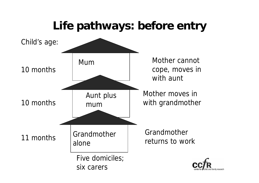## **Life pathways: before entry**

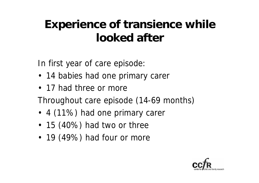## **Experience of transience while looked after**

In first year of care episode:

- 14 babies had one primary carer
- 17 had three or more

Throughout care episode (14-69 months)

- 4 (11%) had one primary carer
- 15 (40%) had two or three
- 19 (49%) had four or more

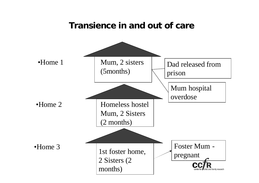#### **Transience in and out of care**

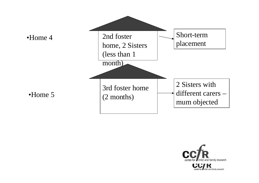

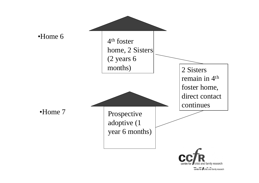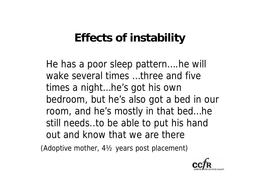## **Effects of instability**

He has a poor sleep pattern….he will wake several times …three and five times a night…he's got his own bedroom, but he's also got a bed in our room, and he's mostly in that bed…he still needs..to be able to put his hand out and know that we are there

(Adoptive mother, 4½ years post placement)

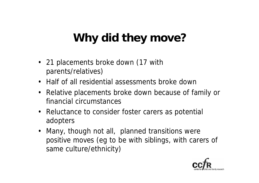# **Why did they move?**

- 21 placements broke down (17 with parents/relatives)
- Half of all residential assessments broke down
- Relative placements broke down because of family or financial circumstances
- Reluctance to consider foster carers as potential adopters
- Many, though not all, planned transitions were positive moves (eg to be with siblings, with carers of same culture/ethnicity)

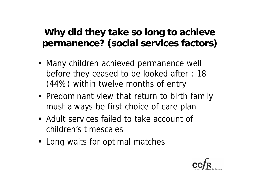#### **Why did they take so long to achieve permanence? (social services factors)**

- Many children achieved permanence well before they ceased to be looked after : 18 (44%) within twelve months of entry
- Predominant view that return to birth family must always be first choice of care plan
- Adult services failed to take account of children's timescales
- Long waits for optimal matches

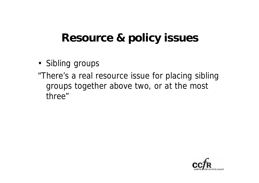#### **Resource & policy issues**

- Sibling groups
- "There's a real resource issue for placing sibling groups together above two, or at the most three"

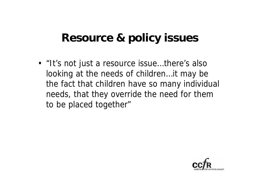#### **Resource & policy issues**

• "It's not just a resource issue...there's also looking at the needs of children…it may be the fact that children have so many individual needs, that they override the need for them to be placed together"

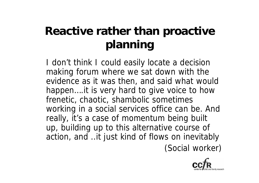## **Reactive rather than proactive planning**

I don't think I could easily locate a decision making forum where we sat down with the evidence as it was then, and said what would happen….it is very hard to give voice to how frenetic, chaotic, shambolic sometimes working in a social services office can be. And really, it's a case of momentum being built up, building up to this alternative course of action, and ..it just kind of flows on inevitably (Social worker)

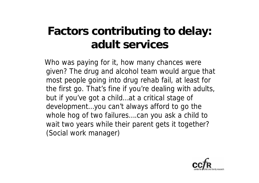## **Factors contributing to delay: adult services**

Who was paying for it, how many chances were given? The drug and alcohol team would argue that most people going into drug rehab fail, at least for the first go. That's fine if you're dealing with adults, but if you've got a child…at a critical stage of development…you can't always afford to go the whole hog of two failures....can you ask a child to wait two years while their parent gets it together? (Social work manager)

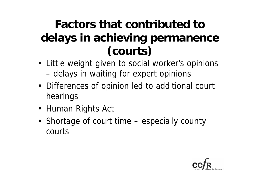## **Factors that contributed to delays in achieving permanence (courts)**

- Little weight given to social worker's opinions – delays in waiting for expert opinions
- Differences of opinion led to additional court hearings
- Human Rights Act
- Shortage of court time especially county courts

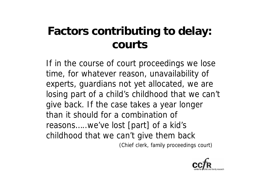## **Factors contributing to delay: courts**

If in the course of court proceedings we lose time, for whatever reason, unavailability of experts, guardians not yet allocated, we are losing part of a child's childhood that we can't give back. If the case takes a year longer than it should for a combination of reasons…..we've lost [part] of a kid's childhood that we can't give them back (Chief clerk, family proceedings court)

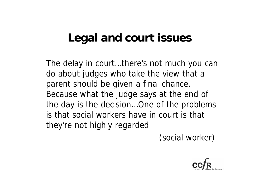## **Legal and court issues**

The delay in court…there's not much you can do about judges who take the view that a parent should be given a final chance. Because what the judge says at the end of the day is the decision…One of the problems is that social workers have in court is that they're not highly regarded

(social worker)

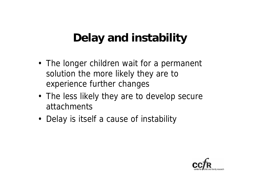## **Delay and instability**

- The longer children wait for a permanent solution the more likely they are to experience further changes
- The less likely they are to develop secure attachments
- Delay is itself a cause of instability

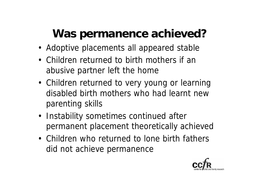## **Was permanence achieved?**

- Adoptive placements all appeared stable
- Children returned to birth mothers if an abusive partner left the home
- Children returned to very young or learning disabled birth mothers who had learnt new parenting skills
- Instability sometimes continued after permanent placement theoretically achieved
- Children who returned to lone birth fathers did not achieve permanence

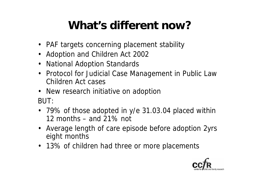## **What's different now?**

- PAF targets concerning placement stability
- Adoption and Children Act 2002
- National Adoption Standards
- Protocol for Judicial Case Management in Public Law Children Act cases
- New research initiative on adoption BUT:
- 79% of those adopted in y/e 31.03.04 placed within 12 months – and 21% not
- Average length of care episode before adoption 2yrs eight months
- 13% of children had three or more placements

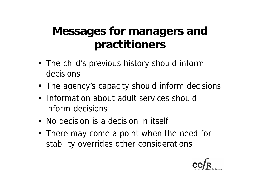## **Messages for managers and practitioners**

- The child's previous history should inform decisions
- The agency's capacity should inform decisions
- Information about adult services should inform decisions
- No decision is a decision in itself
- There may come a point when the need for stability overrides other considerations